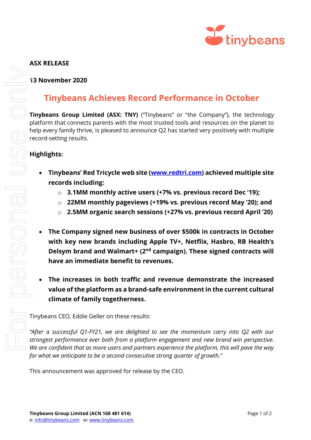

## **ASX RELEASE**

#### **13 November 2020**

# **Tinybeans Achieves Record Performance in October**

**Tinybeans Group Limited (ASX: TNY)** ("Tinybeans" or "the Company"), the technology platform that connects parents with the most trusted tools and resources on the planet to help every family thrive, is pleased to announce Q2 has started very positively with multiple record-setting results.

### **Highlights:**

- **Tinybeans' Red Tricycle web site [\(www.redtri.com\)](http://www.redtri.com/) achieved multiple site records including:**
	- o **3.1MM monthly active users (+7% vs. previous record Dec '19);**
	- o **22MM monthly pageviews (+19% vs. previous record May '20); and**
	- o **2.5MM organic search sessions (+27% vs. previous record April '20)**
- **The Company signed new business of over \$500k in contracts in October with key new brands including Apple TV+, Netflix, Hasbro, RB Health's Delsym brand and Walmart+ (2<sup>nd</sup> campaign). These signed contracts will have an immediate benefit to revenues.**
- **The increases in both traffic and revenue demonstrate the increased value of the platform as a brand-safe environment in the current cultural climate of family togetherness.**

Tinybeans CEO, Eddie Geller on these results:

*"After a successful Q1-FY21, we are delighted to see the momentum carry into Q2 with our strongest performance ever both from a platform engagement and new brand win perspective. We are confident that as more users and partners experience the platform, this will pave the way for what we anticipate to be a second consecutive strong quarter of growth."*